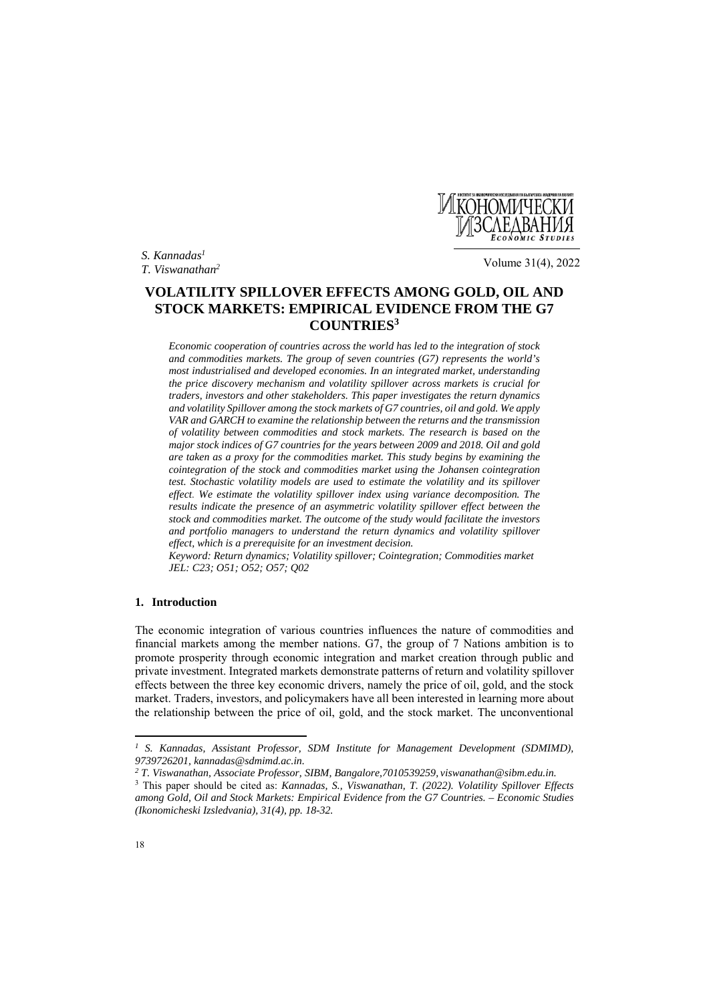*S. Kannadas1*

*T. Viswanathan2* Volume 31(4), 2022

**ИКОНОМИЧЕСКИ** 

# **VOLATILITY SPILLOVER EFFECTS AMONG GOLD, OIL AND STOCK MARKETS: EMPIRICAL EVIDENCE FROM THE G7 COUNTRIES3**

*Economic cooperation of countries across the world has led to the integration of stock and commodities markets. The group of seven countries (G7) represents the world's most industrialised and developed economies. In an integrated market, understanding the price discovery mechanism and volatility spillover across markets is crucial for traders, investors and other stakeholders. This paper investigates the return dynamics and volatility Spillover among the stock markets of G7 countries, oil and gold. We apply VAR and GARCH to examine the relationship between the returns and the transmission of volatility between commodities and stock markets. The research is based on the major stock indices of G7 countries for the years between 2009 and 2018. Oil and gold are taken as a proxy for the commodities market. This study begins by examining the cointegration of the stock and commodities market using the Johansen cointegration test. Stochastic volatility models are used to estimate the volatility and its spillover effect. We estimate the volatility spillover index using variance decomposition. The results indicate the presence of an asymmetric volatility spillover effect between the stock and commodities market. The outcome of the study would facilitate the investors and portfolio managers to understand the return dynamics and volatility spillover effect, which is a prerequisite for an investment decision.* 

*Keyword: Return dynamics; Volatility spillover; Cointegration; Commodities market JEL: C23; O51; O52; O57; Q02* 

# **1. Introduction**

The economic integration of various countries influences the nature of commodities and financial markets among the member nations. G7, the group of 7 Nations ambition is to promote prosperity through economic integration and market creation through public and private investment. Integrated markets demonstrate patterns of return and volatility spillover effects between the three key economic drivers, namely the price of oil, gold, and the stock market. Traders, investors, and policymakers have all been interested in learning more about the relationship between the price of oil, gold, and the stock market. The unconventional

 $\overline{\phantom{a}}$ 

*<sup>1</sup> S. Kannadas, Assistant Professor, SDM Institute for Management Development (SDMIMD), 9739726201, kannadas@sdmimd.ac.in.* 

*<sup>2</sup> T. Viswanathan, Associate Professor, SIBM, Bangalore,7010539259, viswanathan@sibm.edu.in.* 

<sup>3</sup> This paper should be cited as: *Kannadas, S., Viswanathan, T. (2022). Volatility Spillover Effects among Gold, Oil and Stock Markets: Empirical Evidence from the G7 Countries. – Economic Studies (Ikonomicheski Izsledvania), 31(4), pp. 18-32.*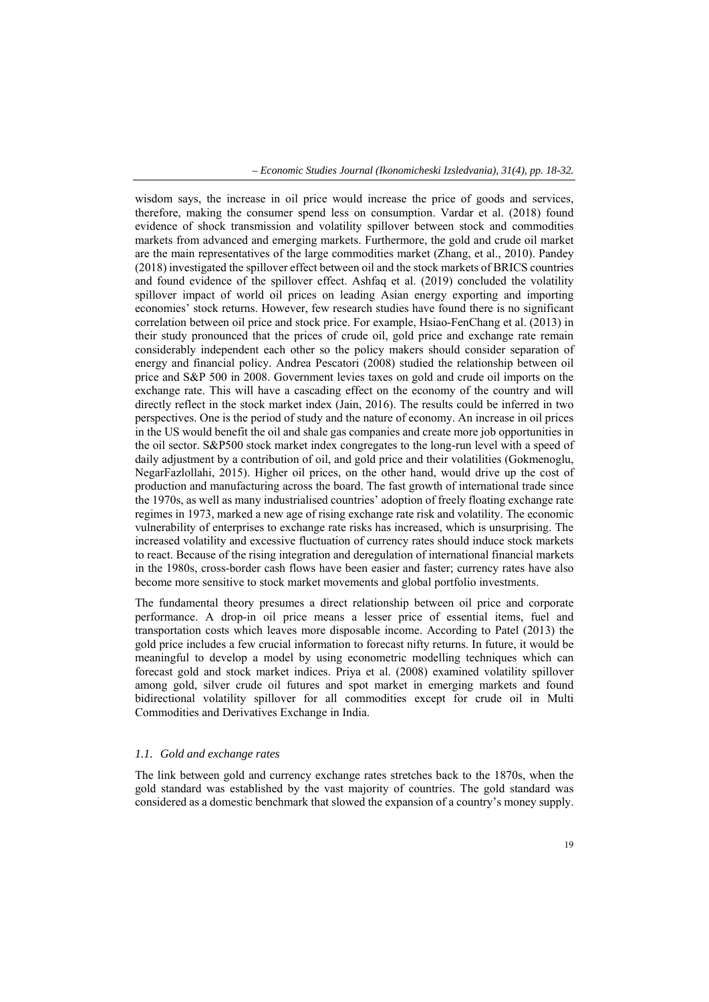wisdom says, the increase in oil price would increase the price of goods and services, therefore, making the consumer spend less on consumption. Vardar et al. (2018) found evidence of shock transmission and volatility spillover between stock and commodities markets from advanced and emerging markets. Furthermore, the gold and crude oil market are the main representatives of the large commodities market (Zhang, et al., 2010). Pandey (2018) investigated the spillover effect between oil and the stock markets of BRICS countries and found evidence of the spillover effect. Ashfaq et al. (2019) concluded the volatility spillover impact of world oil prices on leading Asian energy exporting and importing economies' stock returns. However, few research studies have found there is no significant correlation between oil price and stock price. For example, Hsiao-FenChang et al. (2013) in their study pronounced that the prices of crude oil, gold price and exchange rate remain considerably independent each other so the policy makers should consider separation of energy and financial policy. Andrea Pescatori (2008) studied the relationship between oil price and S&P 500 in 2008. Government levies taxes on gold and crude oil imports on the exchange rate. This will have a cascading effect on the economy of the country and will directly reflect in the stock market index (Jain, 2016). The results could be inferred in two perspectives. One is the period of study and the nature of economy. An increase in oil prices in the US would benefit the oil and shale gas companies and create more job opportunities in the oil sector. S&P500 stock market index congregates to the long-run level with a speed of daily adjustment by a contribution of oil, and gold price and their volatilities (Gokmenoglu, NegarFazlollahi, 2015). Higher oil prices, on the other hand, would drive up the cost of production and manufacturing across the board. The fast growth of international trade since the 1970s, as well as many industrialised countries' adoption of freely floating exchange rate regimes in 1973, marked a new age of rising exchange rate risk and volatility. The economic vulnerability of enterprises to exchange rate risks has increased, which is unsurprising. The increased volatility and excessive fluctuation of currency rates should induce stock markets to react. Because of the rising integration and deregulation of international financial markets in the 1980s, cross-border cash flows have been easier and faster; currency rates have also become more sensitive to stock market movements and global portfolio investments.

The fundamental theory presumes a direct relationship between oil price and corporate performance. A drop-in oil price means a lesser price of essential items, fuel and transportation costs which leaves more disposable income. According to Patel (2013) the gold price includes a few crucial information to forecast nifty returns. In future, it would be meaningful to develop a model by using econometric modelling techniques which can forecast gold and stock market indices. Priya et al. (2008) examined volatility spillover among gold, silver crude oil futures and spot market in emerging markets and found bidirectional volatility spillover for all commodities except for crude oil in Multi Commodities and Derivatives Exchange in India.

## *1.1. Gold and exchange rates*

The link between gold and currency exchange rates stretches back to the 1870s, when the gold standard was established by the vast majority of countries. The gold standard was considered as a domestic benchmark that slowed the expansion of a country's money supply.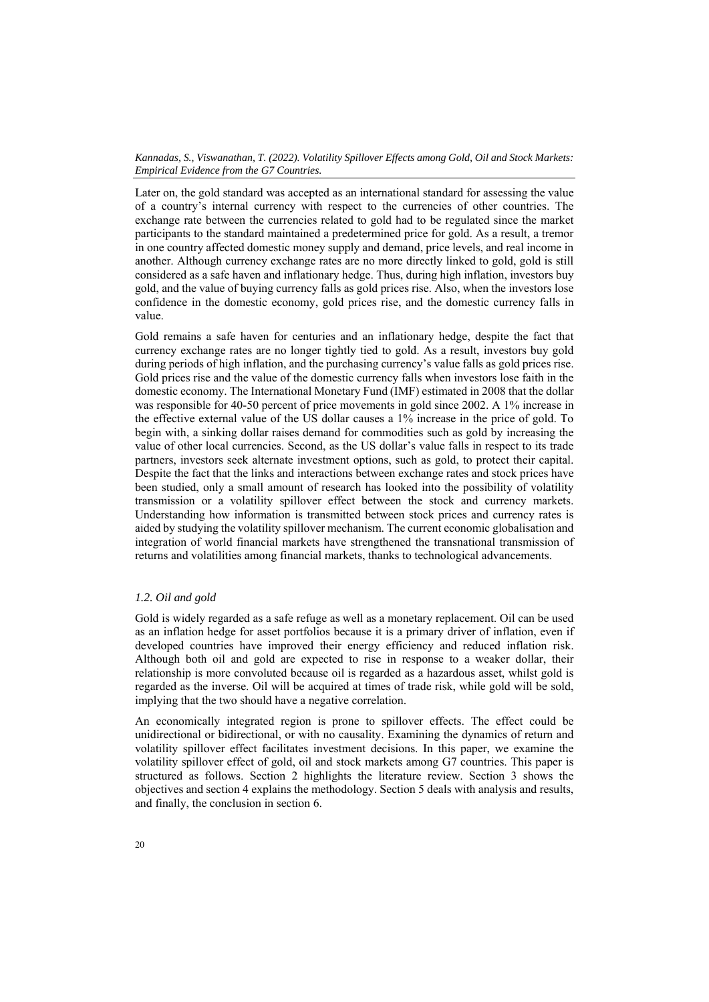Later on, the gold standard was accepted as an international standard for assessing the value of a country's internal currency with respect to the currencies of other countries. The exchange rate between the currencies related to gold had to be regulated since the market participants to the standard maintained a predetermined price for gold. As a result, a tremor in one country affected domestic money supply and demand, price levels, and real income in another. Although currency exchange rates are no more directly linked to gold, gold is still considered as a safe haven and inflationary hedge. Thus, during high inflation, investors buy gold, and the value of buying currency falls as gold prices rise. Also, when the investors lose confidence in the domestic economy, gold prices rise, and the domestic currency falls in value.

Gold remains a safe haven for centuries and an inflationary hedge, despite the fact that currency exchange rates are no longer tightly tied to gold. As a result, investors buy gold during periods of high inflation, and the purchasing currency's value falls as gold prices rise. Gold prices rise and the value of the domestic currency falls when investors lose faith in the domestic economy. The International Monetary Fund (IMF) estimated in 2008 that the dollar was responsible for 40-50 percent of price movements in gold since 2002. A 1% increase in the effective external value of the US dollar causes a 1% increase in the price of gold. To begin with, a sinking dollar raises demand for commodities such as gold by increasing the value of other local currencies. Second, as the US dollar's value falls in respect to its trade partners, investors seek alternate investment options, such as gold, to protect their capital. Despite the fact that the links and interactions between exchange rates and stock prices have been studied, only a small amount of research has looked into the possibility of volatility transmission or a volatility spillover effect between the stock and currency markets. Understanding how information is transmitted between stock prices and currency rates is aided by studying the volatility spillover mechanism. The current economic globalisation and integration of world financial markets have strengthened the transnational transmission of returns and volatilities among financial markets, thanks to technological advancements.

## *1.2. Oil and gold*

Gold is widely regarded as a safe refuge as well as a monetary replacement. Oil can be used as an inflation hedge for asset portfolios because it is a primary driver of inflation, even if developed countries have improved their energy efficiency and reduced inflation risk. Although both oil and gold are expected to rise in response to a weaker dollar, their relationship is more convoluted because oil is regarded as a hazardous asset, whilst gold is regarded as the inverse. Oil will be acquired at times of trade risk, while gold will be sold, implying that the two should have a negative correlation.

An economically integrated region is prone to spillover effects. The effect could be unidirectional or bidirectional, or with no causality. Examining the dynamics of return and volatility spillover effect facilitates investment decisions. In this paper, we examine the volatility spillover effect of gold, oil and stock markets among G7 countries. This paper is structured as follows. Section 2 highlights the literature review. Section 3 shows the objectives and section 4 explains the methodology. Section 5 deals with analysis and results, and finally, the conclusion in section 6.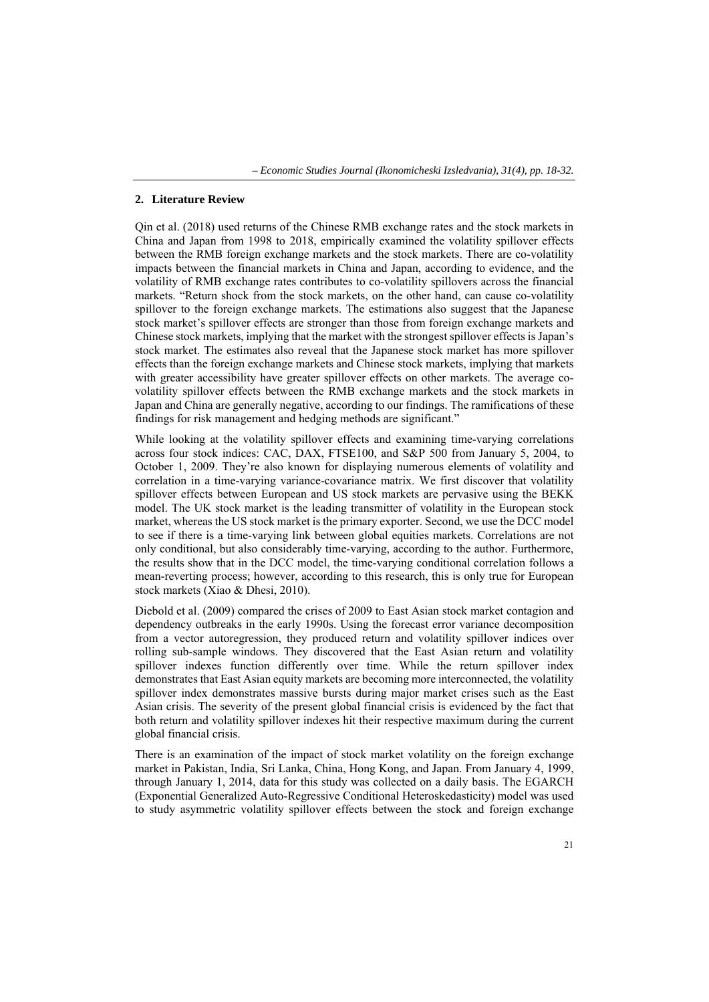#### **2. Literature Review**

Qin et al. (2018) used returns of the Chinese RMB exchange rates and the stock markets in China and Japan from 1998 to 2018, empirically examined the volatility spillover effects between the RMB foreign exchange markets and the stock markets. There are co-volatility impacts between the financial markets in China and Japan, according to evidence, and the volatility of RMB exchange rates contributes to co-volatility spillovers across the financial markets. "Return shock from the stock markets, on the other hand, can cause co-volatility spillover to the foreign exchange markets. The estimations also suggest that the Japanese stock market's spillover effects are stronger than those from foreign exchange markets and Chinese stock markets, implying that the market with the strongest spillover effects is Japan's stock market. The estimates also reveal that the Japanese stock market has more spillover effects than the foreign exchange markets and Chinese stock markets, implying that markets with greater accessibility have greater spillover effects on other markets. The average covolatility spillover effects between the RMB exchange markets and the stock markets in Japan and China are generally negative, according to our findings. The ramifications of these findings for risk management and hedging methods are significant."

While looking at the volatility spillover effects and examining time-varying correlations across four stock indices: CAC, DAX, FTSE100, and S&P 500 from January 5, 2004, to October 1, 2009. They're also known for displaying numerous elements of volatility and correlation in a time-varying variance-covariance matrix. We first discover that volatility spillover effects between European and US stock markets are pervasive using the BEKK model. The UK stock market is the leading transmitter of volatility in the European stock market, whereas the US stock market is the primary exporter. Second, we use the DCC model to see if there is a time-varying link between global equities markets. Correlations are not only conditional, but also considerably time-varying, according to the author. Furthermore, the results show that in the DCC model, the time-varying conditional correlation follows a mean-reverting process; however, according to this research, this is only true for European stock markets (Xiao & Dhesi, 2010).

Diebold et al. (2009) compared the crises of 2009 to East Asian stock market contagion and dependency outbreaks in the early 1990s. Using the forecast error variance decomposition from a vector autoregression, they produced return and volatility spillover indices over rolling sub-sample windows. They discovered that the East Asian return and volatility spillover indexes function differently over time. While the return spillover index demonstrates that East Asian equity markets are becoming more interconnected, the volatility spillover index demonstrates massive bursts during major market crises such as the East Asian crisis. The severity of the present global financial crisis is evidenced by the fact that both return and volatility spillover indexes hit their respective maximum during the current global financial crisis.

There is an examination of the impact of stock market volatility on the foreign exchange market in Pakistan, India, Sri Lanka, China, Hong Kong, and Japan. From January 4, 1999, through January 1, 2014, data for this study was collected on a daily basis. The EGARCH (Exponential Generalized Auto-Regressive Conditional Heteroskedasticity) model was used to study asymmetric volatility spillover effects between the stock and foreign exchange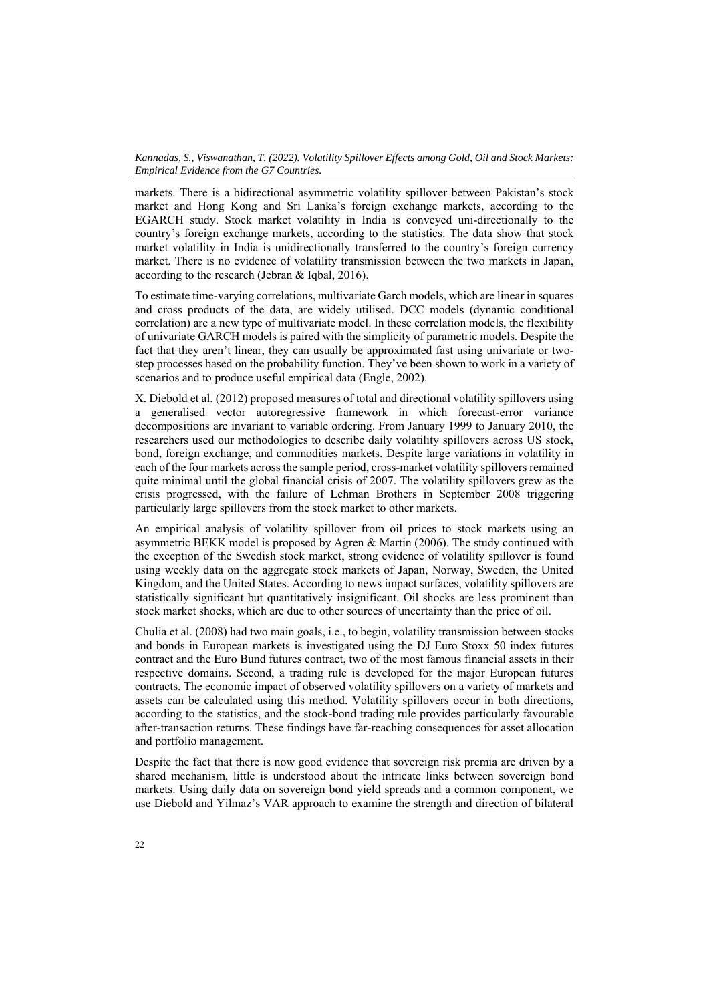markets. There is a bidirectional asymmetric volatility spillover between Pakistan's stock market and Hong Kong and Sri Lanka's foreign exchange markets, according to the EGARCH study. Stock market volatility in India is conveyed uni-directionally to the country's foreign exchange markets, according to the statistics. The data show that stock market volatility in India is unidirectionally transferred to the country's foreign currency market. There is no evidence of volatility transmission between the two markets in Japan, according to the research (Jebran & Iqbal, 2016).

To estimate time-varying correlations, multivariate Garch models, which are linear in squares and cross products of the data, are widely utilised. DCC models (dynamic conditional correlation) are a new type of multivariate model. In these correlation models, the flexibility of univariate GARCH models is paired with the simplicity of parametric models. Despite the fact that they aren't linear, they can usually be approximated fast using univariate or twostep processes based on the probability function. They've been shown to work in a variety of scenarios and to produce useful empirical data (Engle, 2002).

X. Diebold et al. (2012) proposed measures of total and directional volatility spillovers using a generalised vector autoregressive framework in which forecast-error variance decompositions are invariant to variable ordering. From January 1999 to January 2010, the researchers used our methodologies to describe daily volatility spillovers across US stock, bond, foreign exchange, and commodities markets. Despite large variations in volatility in each of the four markets across the sample period, cross-market volatility spillovers remained quite minimal until the global financial crisis of 2007. The volatility spillovers grew as the crisis progressed, with the failure of Lehman Brothers in September 2008 triggering particularly large spillovers from the stock market to other markets.

An empirical analysis of volatility spillover from oil prices to stock markets using an asymmetric BEKK model is proposed by Agren & Martin (2006). The study continued with the exception of the Swedish stock market, strong evidence of volatility spillover is found using weekly data on the aggregate stock markets of Japan, Norway, Sweden, the United Kingdom, and the United States. According to news impact surfaces, volatility spillovers are statistically significant but quantitatively insignificant. Oil shocks are less prominent than stock market shocks, which are due to other sources of uncertainty than the price of oil.

Chulia et al. (2008) had two main goals, i.e., to begin, volatility transmission between stocks and bonds in European markets is investigated using the DJ Euro Stoxx 50 index futures contract and the Euro Bund futures contract, two of the most famous financial assets in their respective domains. Second, a trading rule is developed for the major European futures contracts. The economic impact of observed volatility spillovers on a variety of markets and assets can be calculated using this method. Volatility spillovers occur in both directions, according to the statistics, and the stock-bond trading rule provides particularly favourable after-transaction returns. These findings have far-reaching consequences for asset allocation and portfolio management.

Despite the fact that there is now good evidence that sovereign risk premia are driven by a shared mechanism, little is understood about the intricate links between sovereign bond markets. Using daily data on sovereign bond yield spreads and a common component, we use Diebold and Yilmaz's VAR approach to examine the strength and direction of bilateral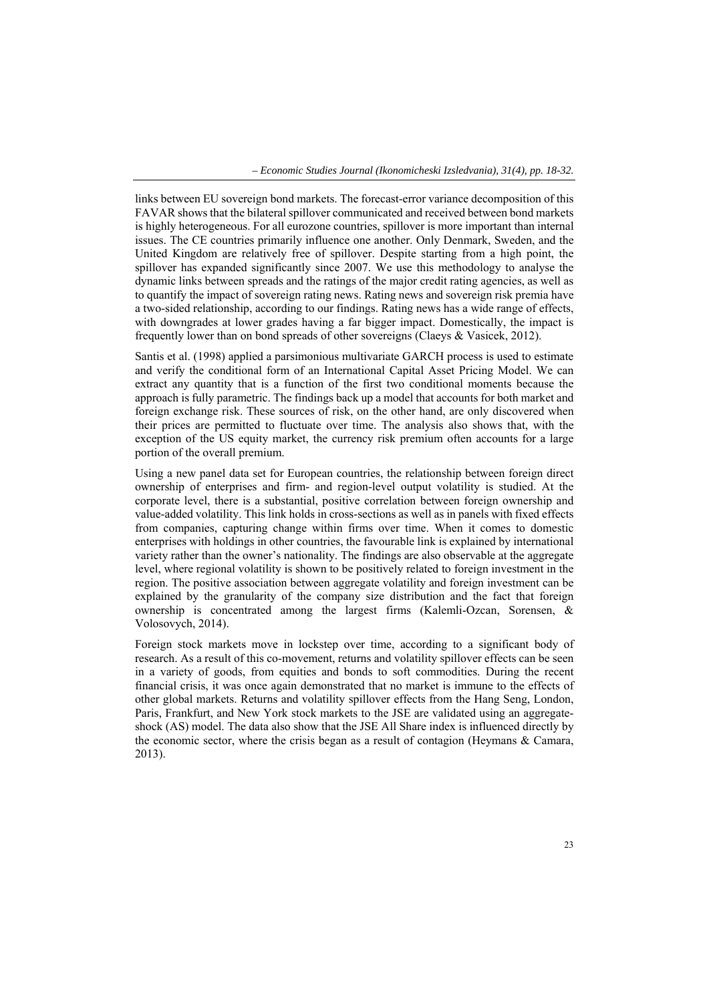links between EU sovereign bond markets. The forecast-error variance decomposition of this FAVAR shows that the bilateral spillover communicated and received between bond markets is highly heterogeneous. For all eurozone countries, spillover is more important than internal issues. The CE countries primarily influence one another. Only Denmark, Sweden, and the United Kingdom are relatively free of spillover. Despite starting from a high point, the spillover has expanded significantly since 2007. We use this methodology to analyse the dynamic links between spreads and the ratings of the major credit rating agencies, as well as to quantify the impact of sovereign rating news. Rating news and sovereign risk premia have a two-sided relationship, according to our findings. Rating news has a wide range of effects, with downgrades at lower grades having a far bigger impact. Domestically, the impact is frequently lower than on bond spreads of other sovereigns (Claeys & Vasicek, 2012).

Santis et al. (1998) applied a parsimonious multivariate GARCH process is used to estimate and verify the conditional form of an International Capital Asset Pricing Model. We can extract any quantity that is a function of the first two conditional moments because the approach is fully parametric. The findings back up a model that accounts for both market and foreign exchange risk. These sources of risk, on the other hand, are only discovered when their prices are permitted to fluctuate over time. The analysis also shows that, with the exception of the US equity market, the currency risk premium often accounts for a large portion of the overall premium.

Using a new panel data set for European countries, the relationship between foreign direct ownership of enterprises and firm- and region-level output volatility is studied. At the corporate level, there is a substantial, positive correlation between foreign ownership and value-added volatility. This link holds in cross-sections as well as in panels with fixed effects from companies, capturing change within firms over time. When it comes to domestic enterprises with holdings in other countries, the favourable link is explained by international variety rather than the owner's nationality. The findings are also observable at the aggregate level, where regional volatility is shown to be positively related to foreign investment in the region. The positive association between aggregate volatility and foreign investment can be explained by the granularity of the company size distribution and the fact that foreign ownership is concentrated among the largest firms (Kalemli-Ozcan, Sorensen, & Volosovych, 2014).

Foreign stock markets move in lockstep over time, according to a significant body of research. As a result of this co-movement, returns and volatility spillover effects can be seen in a variety of goods, from equities and bonds to soft commodities. During the recent financial crisis, it was once again demonstrated that no market is immune to the effects of other global markets. Returns and volatility spillover effects from the Hang Seng, London, Paris, Frankfurt, and New York stock markets to the JSE are validated using an aggregateshock (AS) model. The data also show that the JSE All Share index is influenced directly by the economic sector, where the crisis began as a result of contagion (Heymans & Camara, 2013).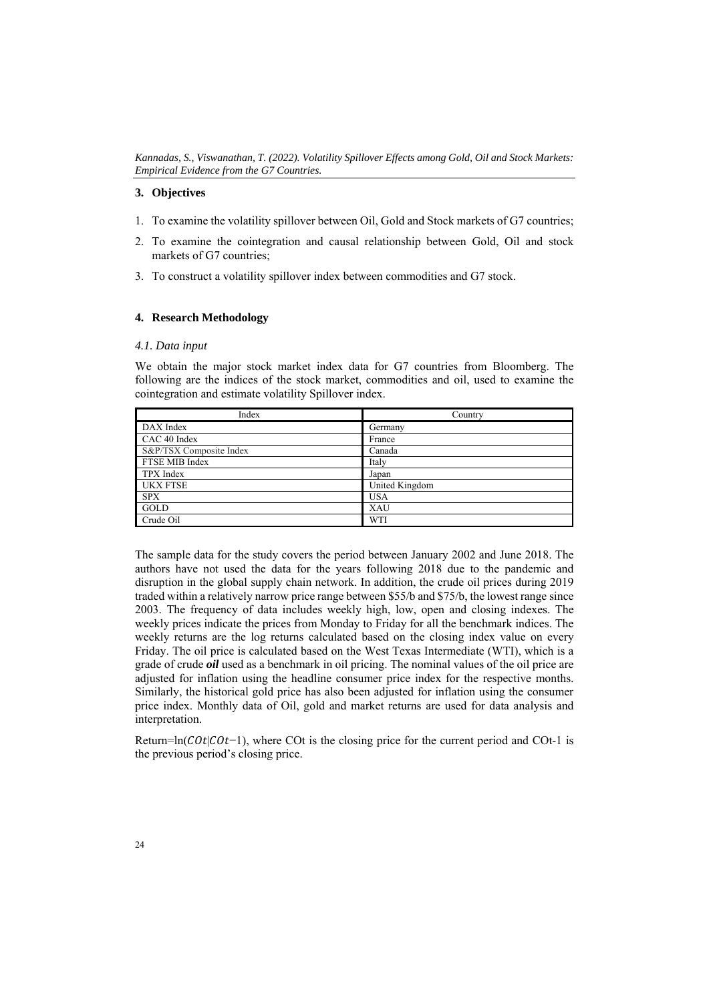## **3. Objectives**

- 1. To examine the volatility spillover between Oil, Gold and Stock markets of G7 countries;
- 2. To examine the cointegration and causal relationship between Gold, Oil and stock markets of G7 countries;
- 3. To construct a volatility spillover index between commodities and G7 stock.

# **4. Research Methodology**

### *4.1. Data input*

We obtain the major stock market index data for G7 countries from Bloomberg. The following are the indices of the stock market, commodities and oil, used to examine the cointegration and estimate volatility Spillover index.

| Index                   | Country        |
|-------------------------|----------------|
| DAX Index               | Germany        |
| CAC 40 Index            | France         |
| S&P/TSX Composite Index | Canada         |
| FTSE MIB Index          | Italy          |
| TPX Index               | Japan          |
| <b>UKX FTSE</b>         | United Kingdom |
| <b>SPX</b>              | <b>USA</b>     |
| GOLD                    | <b>XAU</b>     |
| Crude Oil               | WTI            |

The sample data for the study covers the period between January 2002 and June 2018. The authors have not used the data for the years following 2018 due to the pandemic and disruption in the global supply chain network. In addition, the crude oil prices during 2019 traded within a relatively narrow price range between \$55/b and \$75/b, the lowest range since 2003. The frequency of data includes weekly high, low, open and closing indexes. The weekly prices indicate the prices from Monday to Friday for all the benchmark indices. The weekly returns are the log returns calculated based on the closing index value on every Friday. The oil price is calculated based on the West Texas Intermediate (WTI), which is a grade of crude *oil* used as a benchmark in oil pricing. The nominal values of the oil price are adjusted for inflation using the headline consumer price index for the respective months. Similarly, the historical gold price has also been adjusted for inflation using the consumer price index. Monthly data of Oil, gold and market returns are used for data analysis and interpretation.

Return=ln( $Cot|Cot-1$ ), where COt is the closing price for the current period and COt-1 is the previous period's closing price.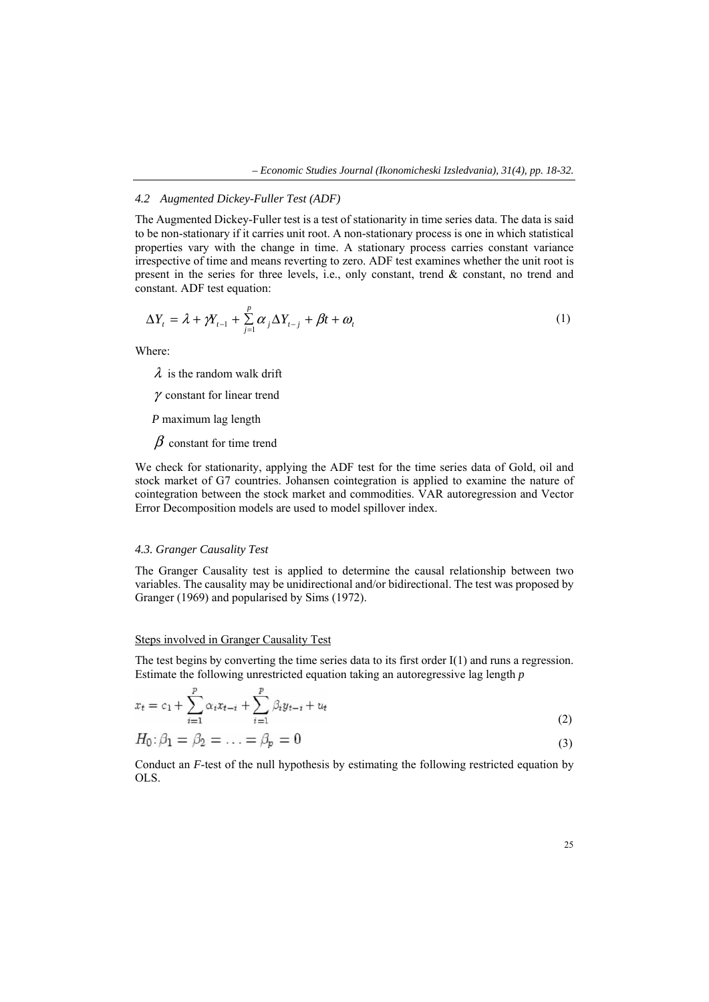#### *4.2 Augmented Dickey-Fuller Test (ADF)*

The Augmented Dickey-Fuller test is a test of stationarity in time series data. The data is said to be non-stationary if it carries unit root. A non-stationary process is one in which statistical properties vary with the change in time. A stationary process carries constant variance irrespective of time and means reverting to zero. ADF test examines whether the unit root is present in the series for three levels, i.e., only constant, trend & constant, no trend and constant. ADF test equation:

$$
\Delta Y_t = \lambda + \gamma Y_{t-1} + \sum_{j=1}^p \alpha_j \Delta Y_{t-j} + \beta t + \omega_t
$$
 (1)

Where:

 $\lambda$  is the random walk drift

γ constant for linear trend

*P* maximum lag length

 $\beta$  constant for time trend

We check for stationarity, applying the ADF test for the time series data of Gold, oil and stock market of G7 countries. Johansen cointegration is applied to examine the nature of cointegration between the stock market and commodities. VAR autoregression and Vector Error Decomposition models are used to model spillover index.

#### *4.3. Granger Causality Test*

The Granger Causality test is applied to determine the causal relationship between two variables. The causality may be unidirectional and/or bidirectional. The test was proposed by Granger (1969) and popularised by Sims (1972).

#### Steps involved in Granger Causality Test

 $\mathcal{L}$ 

The test begins by converting the time series data to its first order I(1) and runs a regression. Estimate the following unrestricted equation taking an autoregressive lag length *p* 

$$
x_{t} = c_{1} + \sum_{i=1}^{P} \alpha_{i} x_{t-i} + \sum_{i=1}^{P} \beta_{i} y_{t-i} + u_{t}
$$
\n(2)

$$
H_0: \beta_1 = \beta_2 = \ldots = \beta_p = 0 \tag{3}
$$

Conduct an *F*-test of the null hypothesis by estimating the following restricted equation by OLS.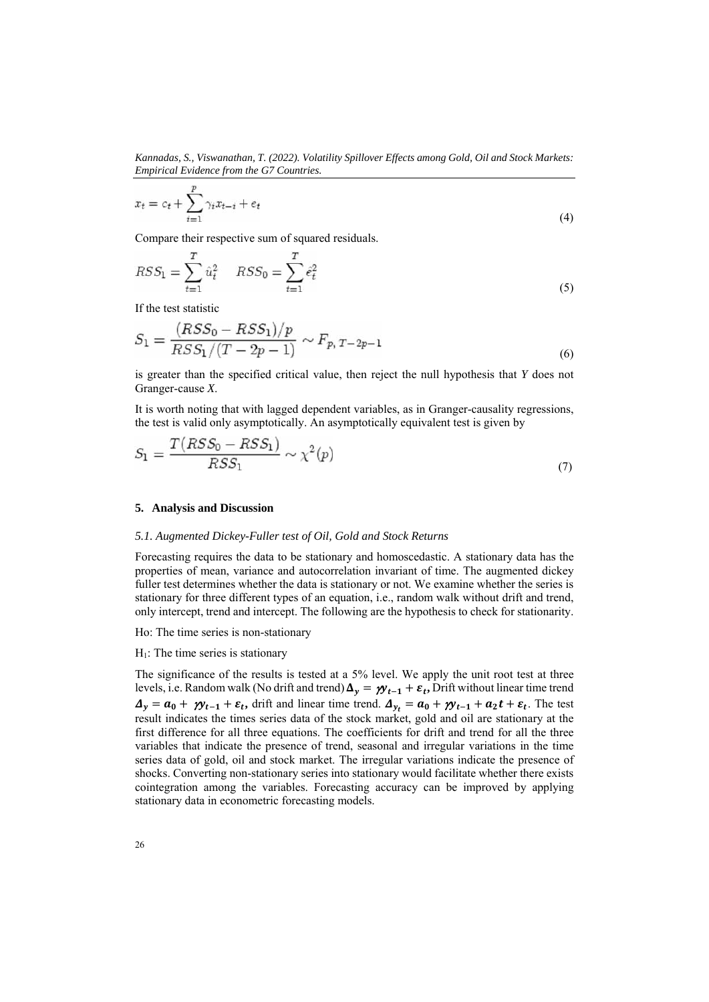*Kannadas, S., Viswanathan, T. (2022). Volatility Spillover Effects among Gold, Oil and Stock Markets: Empirical Evidence from the G7 Countries.* 

$$
x_t = c_t + \sum_{i=1}^p \gamma_i x_{t-i} + e_t \tag{4}
$$

Compare their respective sum of squared residuals.

$$
RSS_1 = \sum_{t=1}^{T} \hat{u}_t^2 \quad RSS_0 = \sum_{t=1}^{T} \hat{e}_t^2 \tag{5}
$$

If the test statistic

$$
S_1 = \frac{(RSS_0 - RSS_1)/p}{RSS_1/(T - 2p - 1)} \sim F_{p, T - 2p - 1}
$$
\n(6)

is greater than the specified critical value, then reject the null hypothesis that *Y* does not Granger-cause *X*.

It is worth noting that with lagged dependent variables, as in Granger-causality regressions, the test is valid only asymptotically. An asymptotically equivalent test is given by

$$
S_1 = \frac{T(RSS_0 - RSS_1)}{RSS_1} \sim \chi^2(p) \tag{7}
$$

## **5. Analysis and Discussion**

## *5.1. Augmented Dickey-Fuller test of Oil, Gold and Stock Returns*

Forecasting requires the data to be stationary and homoscedastic. A stationary data has the properties of mean, variance and autocorrelation invariant of time. The augmented dickey fuller test determines whether the data is stationary or not. We examine whether the series is stationary for three different types of an equation, i.e., random walk without drift and trend, only intercept, trend and intercept. The following are the hypothesis to check for stationarity.

Ho: The time series is non-stationary

#### $H_1$ : The time series is stationary

The significance of the results is tested at a 5% level. We apply the unit root test at three levels, i.e. Random walk (No drift and trend)  $\Delta_y = \gamma y_{t-1} + \varepsilon_t$ , Drift without linear time trend  $\Delta_y = a_0 + \gamma y_{t-1} + \varepsilon_t$ , drift and linear time trend.  $\Delta_{y_t} = a_0 + \gamma y_{t-1} + a_2 t + \varepsilon_t$ . The test result indicates the times series data of the stock market, gold and oil are stationary at the first difference for all three equations. The coefficients for drift and trend for all the three variables that indicate the presence of trend, seasonal and irregular variations in the time series data of gold, oil and stock market. The irregular variations indicate the presence of shocks. Converting non-stationary series into stationary would facilitate whether there exists cointegration among the variables. Forecasting accuracy can be improved by applying stationary data in econometric forecasting models.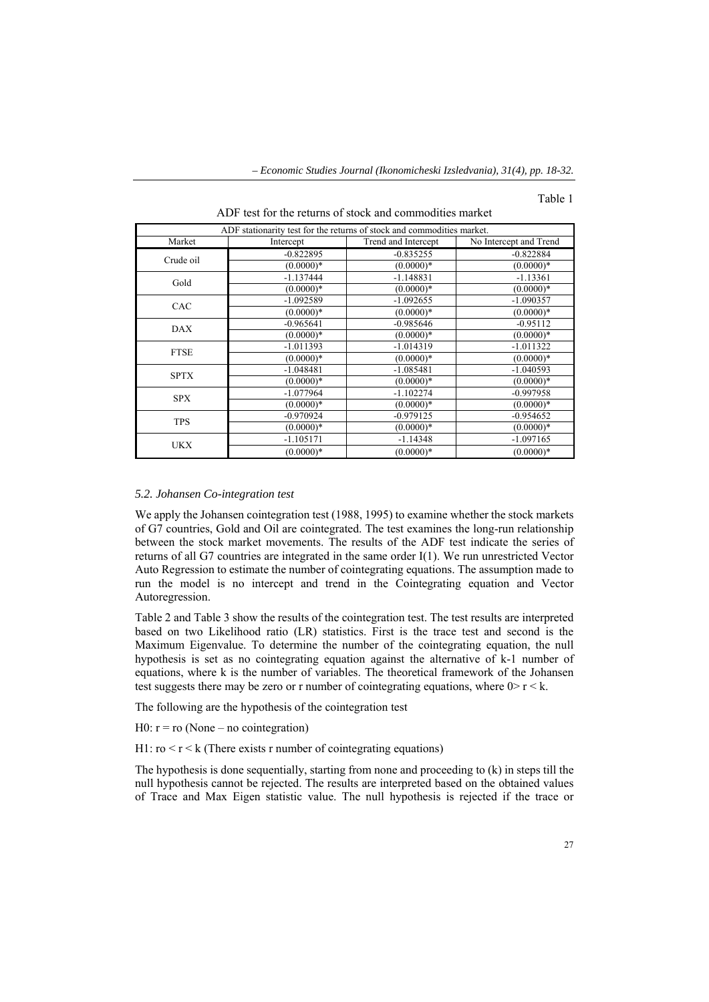#### Table 1

|             | ADF stationarity test for the returns of stock and commodities market. |                     |                        |  |  |  |  |  |  |
|-------------|------------------------------------------------------------------------|---------------------|------------------------|--|--|--|--|--|--|
| Market      | Intercept                                                              | Trend and Intercept | No Intercept and Trend |  |  |  |  |  |  |
| Crude oil   | $-0.822895$                                                            | $-0.835255$         | $-0.822884$            |  |  |  |  |  |  |
|             | $(0.0000)*$                                                            | $(0.0000)*$         | $(0.0000)*$            |  |  |  |  |  |  |
| Gold        | $-1.137444$                                                            | $-1.148831$         | $-1.13361$             |  |  |  |  |  |  |
|             | $(0.0000)*$                                                            | $(0.0000)*$         | $(0.0000)*$            |  |  |  |  |  |  |
| CAC         | $-1.092589$                                                            | $-1.092655$         | $-1.090357$            |  |  |  |  |  |  |
|             | $(0.0000)*$                                                            | $(0.0000)*$         | $(0.0000)*$            |  |  |  |  |  |  |
| <b>DAX</b>  | $-0.965641$                                                            | $-0.985646$         | $-0.95112$             |  |  |  |  |  |  |
|             | $(0.0000)*$                                                            | $(0.0000)*$         | $(0.0000)*$            |  |  |  |  |  |  |
| <b>FTSE</b> | $-1.011393$                                                            | $-1.014319$         | $-1.011322$            |  |  |  |  |  |  |
|             | $(0.0000)*$                                                            | $(0.0000)*$         | $(0.0000)*$            |  |  |  |  |  |  |
| <b>SPTX</b> | $-1.048481$                                                            | $-1.085481$         | $-1.040593$            |  |  |  |  |  |  |
|             | $(0.0000)*$                                                            | $(0.0000)*$         | $(0.0000)*$            |  |  |  |  |  |  |
| <b>SPX</b>  | $-1.077964$                                                            | $-1.102274$         | $-0.997958$            |  |  |  |  |  |  |
|             | $(0.0000)*$                                                            | $(0.0000)*$         | $(0.0000)*$            |  |  |  |  |  |  |
| <b>TPS</b>  | $-0.970924$                                                            | $-0.979125$         | $-0.954652$            |  |  |  |  |  |  |
|             | $(0.0000)*$                                                            | $(0.0000)*$         | $(0.0000)*$            |  |  |  |  |  |  |
| <b>UKX</b>  | $-1.105171$                                                            | $-1.14348$          | $-1.097165$            |  |  |  |  |  |  |
|             | $(0.0000)*$                                                            | $(0.0000)*$         | $(0.0000)*$            |  |  |  |  |  |  |

ADF test for the returns of stock and commodities market

#### *5.2. Johansen Co-integration test*

We apply the Johansen cointegration test (1988, 1995) to examine whether the stock markets of G7 countries, Gold and Oil are cointegrated. The test examines the long-run relationship between the stock market movements. The results of the ADF test indicate the series of returns of all G7 countries are integrated in the same order I(1). We run unrestricted Vector Auto Regression to estimate the number of cointegrating equations. The assumption made to run the model is no intercept and trend in the Cointegrating equation and Vector Autoregression.

Table 2 and Table 3 show the results of the cointegration test. The test results are interpreted based on two Likelihood ratio (LR) statistics. First is the trace test and second is the Maximum Eigenvalue. To determine the number of the cointegrating equation, the null hypothesis is set as no cointegrating equation against the alternative of k-1 number of equations, where k is the number of variables. The theoretical framework of the Johansen test suggests there may be zero or r number of cointegrating equations, where  $0 > r < k$ .

The following are the hypothesis of the cointegration test

 $H0: r = r0$  (None – no cointegration)

H1:  $\text{ro} < \text{r} < \text{k}$  (There exists r number of cointegrating equations)

The hypothesis is done sequentially, starting from none and proceeding to (k) in steps till the null hypothesis cannot be rejected. The results are interpreted based on the obtained values of Trace and Max Eigen statistic value. The null hypothesis is rejected if the trace or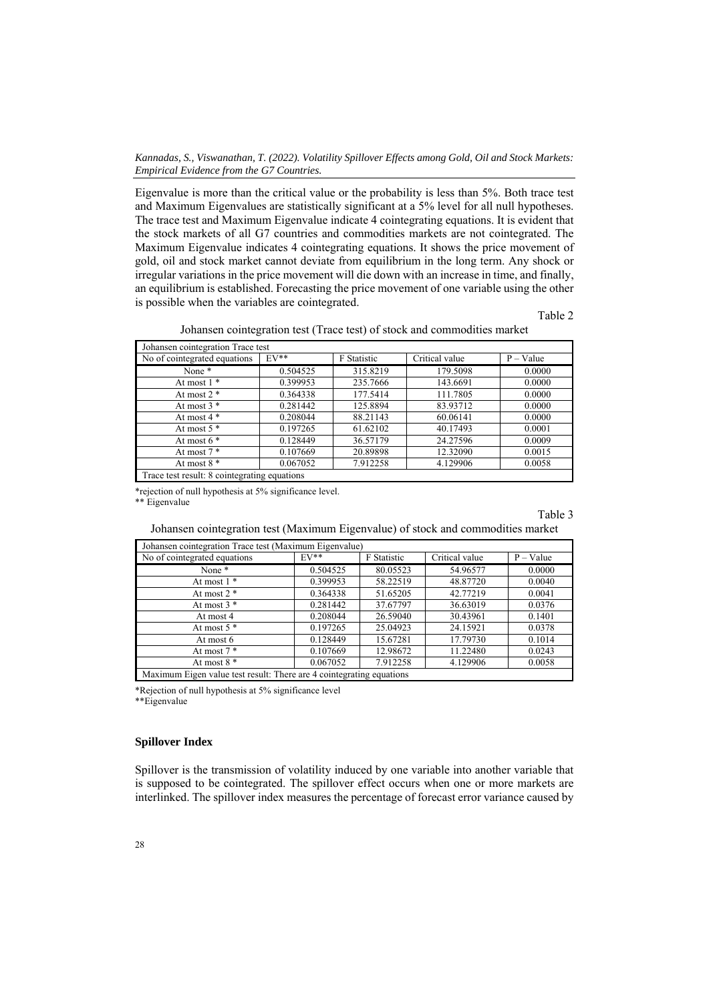*Kannadas, S., Viswanathan, T. (2022). Volatility Spillover Effects among Gold, Oil and Stock Markets: Empirical Evidence from the G7 Countries.* 

Eigenvalue is more than the critical value or the probability is less than 5%. Both trace test and Maximum Eigenvalues are statistically significant at a 5% level for all null hypotheses. The trace test and Maximum Eigenvalue indicate 4 cointegrating equations. It is evident that the stock markets of all G7 countries and commodities markets are not cointegrated. The Maximum Eigenvalue indicates 4 cointegrating equations. It shows the price movement of gold, oil and stock market cannot deviate from equilibrium in the long term. Any shock or irregular variations in the price movement will die down with an increase in time, and finally, an equilibrium is established. Forecasting the price movement of one variable using the other is possible when the variables are cointegrated.

Table 2

|  |  |  | Johansen cointegration test (Trace test) of stock and commodities market |  |
|--|--|--|--------------------------------------------------------------------------|--|
|  |  |  |                                                                          |  |

| Johansen cointegration Trace test            |          |             |                |             |  |  |  |  |  |
|----------------------------------------------|----------|-------------|----------------|-------------|--|--|--|--|--|
| No of cointegrated equations                 | $EV**$   | F Statistic | Critical value | $P - Value$ |  |  |  |  |  |
| None <sup>*</sup>                            | 0.504525 | 315.8219    | 179.5098       | 0.0000      |  |  |  |  |  |
| At most $1$ *                                | 0.399953 | 235.7666    | 143.6691       | 0.0000      |  |  |  |  |  |
| At most $2$ $*$                              | 0.364338 | 177.5414    | 111.7805       | 0.0000      |  |  |  |  |  |
| At most $3$ $*$                              | 0.281442 | 125.8894    | 83.93712       | 0.0000      |  |  |  |  |  |
| At most $4*$                                 | 0.208044 | 88.21143    | 60.06141       | 0.0000      |  |  |  |  |  |
| At most $5*$                                 | 0.197265 | 61.62102    | 40.17493       | 0.0001      |  |  |  |  |  |
| At most $6*$                                 | 0.128449 | 36.57179    | 24.27596       | 0.0009      |  |  |  |  |  |
| At most $7*$                                 | 0.107669 | 20.89898    | 12.32090       | 0.0015      |  |  |  |  |  |
| At most $8*$                                 | 0.067052 | 7.912258    | 4.129906       | 0.0058      |  |  |  |  |  |
| Trace test result: 8 cointegrating equations |          |             |                |             |  |  |  |  |  |

\*rejection of null hypothesis at 5% significance level.

\*\* Eigenvalue

# Table 3

# Johansen cointegration test (Maximum Eigenvalue) of stock and commodities market

| Johansen cointegration Trace test (Maximum Eigenvalue)               |          |             |                |             |
|----------------------------------------------------------------------|----------|-------------|----------------|-------------|
| No of cointegrated equations                                         | $EV**$   | F Statistic | Critical value | $P - Value$ |
| None *                                                               | 0.504525 | 80.05523    | 54.96577       | 0.0000      |
| At most $1$ *                                                        | 0.399953 | 58.22519    | 48.87720       | 0.0040      |
| At most $2$ $*$                                                      | 0.364338 | 51.65205    | 42.77219       | 0.0041      |
| At most $3$ $*$                                                      | 0.281442 | 37.67797    | 36.63019       | 0.0376      |
| At most 4                                                            | 0.208044 | 26.59040    | 30.43961       | 0.1401      |
| At most $5$ $*$                                                      | 0.197265 | 25.04923    | 24.15921       | 0.0378      |
| At most 6                                                            | 0.128449 | 15.67281    | 17.79730       | 0.1014      |
| At most $7*$                                                         | 0.107669 | 12.98672    | 11.22480       | 0.0243      |
| At most $8*$                                                         | 0.067052 | 7.912258    | 4.129906       | 0.0058      |
| Maximum Eigen value test result: There are 4 cointegrating equations |          |             |                |             |

\*Rejection of null hypothesis at 5% significance level

\*\*Eigenvalue

# **Spillover Index**

Spillover is the transmission of volatility induced by one variable into another variable that is supposed to be cointegrated. The spillover effect occurs when one or more markets are interlinked. The spillover index measures the percentage of forecast error variance caused by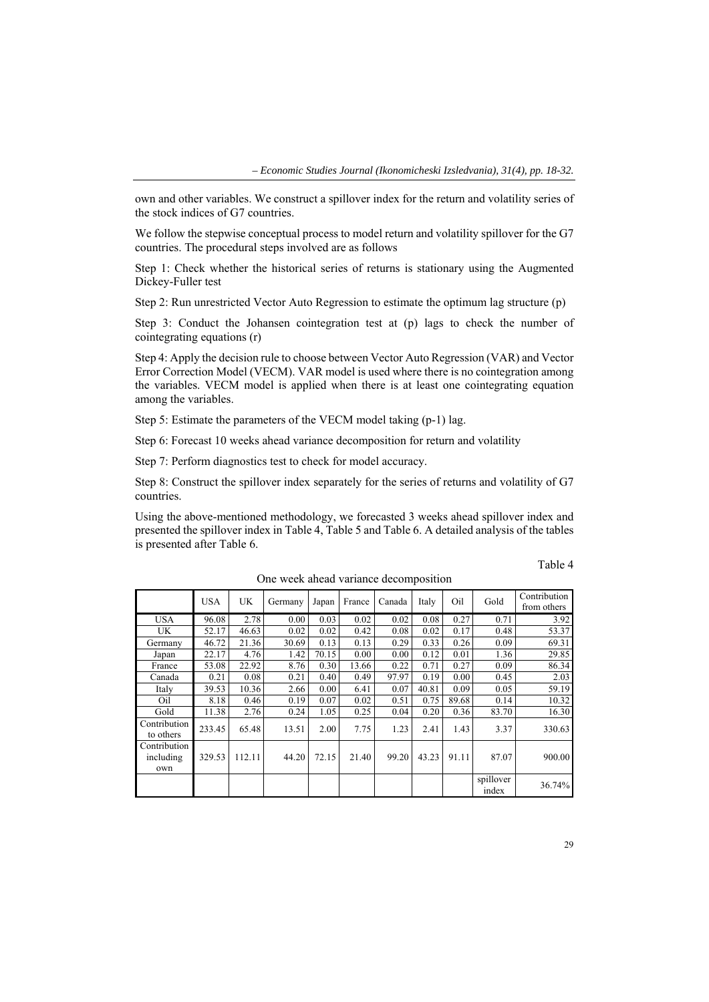own and other variables. We construct a spillover index for the return and volatility series of the stock indices of G7 countries.

We follow the stepwise conceptual process to model return and volatility spillover for the G7 countries. The procedural steps involved are as follows

Step 1: Check whether the historical series of returns is stationary using the Augmented Dickey-Fuller test

Step 2: Run unrestricted Vector Auto Regression to estimate the optimum lag structure (p)

Step 3: Conduct the Johansen cointegration test at (p) lags to check the number of cointegrating equations (r)

Step 4: Apply the decision rule to choose between Vector Auto Regression (VAR) and Vector Error Correction Model (VECM). VAR model is used where there is no cointegration among the variables. VECM model is applied when there is at least one cointegrating equation among the variables.

Step 5: Estimate the parameters of the VECM model taking (p-1) lag.

Step 6: Forecast 10 weeks ahead variance decomposition for return and volatility

Step 7: Perform diagnostics test to check for model accuracy.

Step 8: Construct the spillover index separately for the series of returns and volatility of G7 countries.

Using the above-mentioned methodology, we forecasted 3 weeks ahead spillover index and presented the spillover index in Table 4, Table 5 and Table 6. A detailed analysis of the tables is presented after Table 6.

|                                  | <b>USA</b> | UK.    | Germany | Japan | France | Canada | Italy | Oil   | Gold               | Contribution<br>from others |
|----------------------------------|------------|--------|---------|-------|--------|--------|-------|-------|--------------------|-----------------------------|
| <b>USA</b>                       | 96.08      | 2.78   | 0.00    | 0.03  | 0.02   | 0.02   | 0.08  | 0.27  | 0.71               | 3.92                        |
| UK.                              | 52.17      | 46.63  | 0.02    | 0.02  | 0.42   | 0.08   | 0.02  | 0.17  | 0.48               | 53.37                       |
| Germany                          | 46.72      | 21.36  | 30.69   | 0.13  | 0.13   | 0.29   | 0.33  | 0.26  | 0.09               | 69.31                       |
| Japan                            | 22.17      | 4.76   | 1.42    | 70.15 | 0.00   | 0.00   | 0.12  | 0.01  | 1.36               | 29.85                       |
| France                           | 53.08      | 22.92  | 8.76    | 0.30  | 13.66  | 0.22   | 0.71  | 0.27  | 0.09               | 86.34                       |
| Canada                           | 0.21       | 0.08   | 0.21    | 0.40  | 0.49   | 97.97  | 0.19  | 0.00  | 0.45               | 2.03                        |
| Italy                            | 39.53      | 10.36  | 2.66    | 0.00  | 6.41   | 0.07   | 40.81 | 0.09  | 0.05               | 59.19                       |
| Oil                              | 8.18       | 0.46   | 0.19    | 0.07  | 0.02   | 0.51   | 0.75  | 89.68 | 0.14               | 10.32                       |
| Gold                             | 11.38      | 2.76   | 0.24    | 1.05  | 0.25   | 0.04   | 0.20  | 0.36  | 83.70              | 16.30                       |
| Contribution<br>to others        | 233.45     | 65.48  | 13.51   | 2.00  | 7.75   | 1.23   | 2.41  | 1.43  | 3.37               | 330.63                      |
| Contribution<br>including<br>own | 329.53     | 112.11 | 44.20   | 72.15 | 21.40  | 99.20  | 43.23 | 91.11 | 87.07              | 900.00                      |
|                                  |            |        |         |       |        |        |       |       | spillover<br>index | 36.74%                      |

One week ahead variance decomposition

Table 4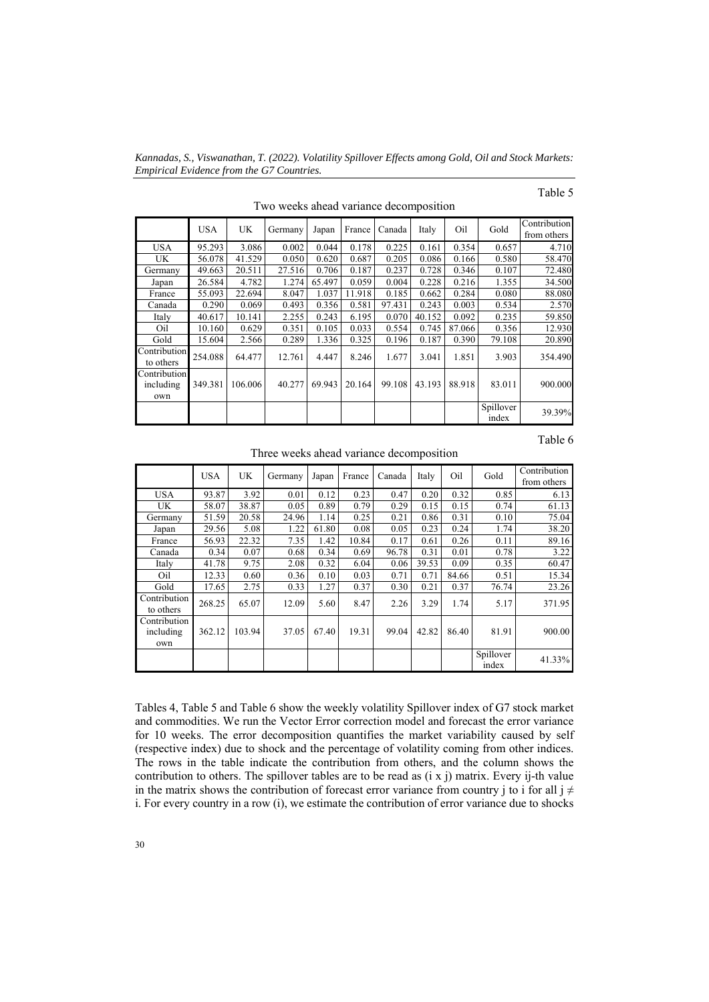*Kannadas, S., Viswanathan, T. (2022). Volatility Spillover Effects among Gold, Oil and Stock Markets: Empirical Evidence from the G7 Countries.* 

# Table 5

Table 6

| Two weeks ahead variance decomposition |         |         |         |        |        |        |        |        |                    |                             |
|----------------------------------------|---------|---------|---------|--------|--------|--------|--------|--------|--------------------|-----------------------------|
|                                        | USA     | UK      | Germany | Japan  | France | Canada | Italy  | Oil    | Gold               | Contribution<br>from others |
| <b>USA</b>                             | 95.293  | 3.086   | 0.002   | 0.044  | 0.178  | 0.225  | 0.161  | 0.354  | 0.657              | 4.710                       |
| UK.                                    | 56.078  | 41.529  | 0.050   | 0.620  | 0.687  | 0.205  | 0.086  | 0.166  | 0.580              | 58.470                      |
| Germany                                | 49.663  | 20.511  | 27.516  | 0.706  | 0.187  | 0.237  | 0.728  | 0.346  | 0.107              | 72.480                      |
| Japan                                  | 26.584  | 4.782   | 1.274   | 65.497 | 0.059  | 0.004  | 0.228  | 0.216  | 1.355              | 34.500                      |
| France                                 | 55.093  | 22.694  | 8.047   | 1.037  | 11.918 | 0.185  | 0.662  | 0.284  | 0.080              | 88.080                      |
| Canada                                 | 0.290   | 0.069   | 0.493   | 0.356  | 0.581  | 97.431 | 0.243  | 0.003  | 0.534              | 2.570                       |
| Italy                                  | 40.617  | 10.141  | 2.255   | 0.243  | 6.195  | 0.070  | 40.152 | 0.092  | 0.235              | 59.850                      |
| Oil                                    | 10.160  | 0.629   | 0.351   | 0.105  | 0.033  | 0.554  | 0.745  | 87.066 | 0.356              | 12.930                      |
| Gold                                   | 15.604  | 2.566   | 0.289   | 1.336  | 0.325  | 0.196  | 0.187  | 0.390  | 79.108             | 20.890                      |
| Contribution<br>to others              | 254.088 | 64.477  | 12.761  | 4.447  | 8.246  | 1.677  | 3.041  | 1.851  | 3.903              | 354.490                     |
| Contribution<br>including<br>own       | 349.381 | 106.006 | 40.277  | 69.943 | 20.164 | 99.108 | 43.193 | 88.918 | 83.011             | 900.000                     |
|                                        |         |         |         |        |        |        |        |        | Spillover<br>index | 39.39%                      |

Three weeks ahead variance decomposition

|                                  | <b>USA</b> | <b>UK</b> | Germany | Japan | France | Canada | Italy | Oil   | Gold               | Contribution<br>from others |
|----------------------------------|------------|-----------|---------|-------|--------|--------|-------|-------|--------------------|-----------------------------|
| <b>USA</b>                       | 93.87      | 3.92      | 0.01    | 0.12  | 0.23   | 0.47   | 0.20  | 0.32  | 0.85               | 6.13                        |
| UK                               | 58.07      | 38.87     | 0.05    | 0.89  | 0.79   | 0.29   | 0.15  | 0.15  | 0.74               | 61.13                       |
| Germany                          | 51.59      | 20.58     | 24.96   | 1.14  | 0.25   | 0.21   | 0.86  | 0.31  | 0.10               | 75.04                       |
| Japan                            | 29.56      | 5.08      | 1.22    | 61.80 | 0.08   | 0.05   | 0.23  | 0.24  | 1.74               | 38.20                       |
| France                           | 56.93      | 22.32     | 7.35    | 1.42  | 10.84  | 0.17   | 0.61  | 0.26  | 0.11               | 89.16                       |
| Canada                           | 0.34       | 0.07      | 0.68    | 0.34  | 0.69   | 96.78  | 0.31  | 0.01  | 0.78               | 3.22                        |
| Italy                            | 41.78      | 9.75      | 2.08    | 0.32  | 6.04   | 0.06   | 39.53 | 0.09  | 0.35               | 60.47                       |
| Oil                              | 12.33      | 0.60      | 0.36    | 0.10  | 0.03   | 0.71   | 0.71  | 84.66 | 0.51               | 15.34                       |
| Gold                             | 17.65      | 2.75      | 0.33    | 1.27  | 0.37   | 0.30   | 0.21  | 0.37  | 76.74              | 23.26                       |
| Contribution<br>to others        | 268.25     | 65.07     | 12.09   | 5.60  | 8.47   | 2.26   | 3.29  | 1.74  | 5.17               | 371.95                      |
| Contribution<br>including<br>own | 362.12     | 103.94    | 37.05   | 67.40 | 19.31  | 99.04  | 42.82 | 86.40 | 81.91              | 900.00                      |
|                                  |            |           |         |       |        |        |       |       | Spillover<br>index | 41.33%                      |

Tables 4, Table 5 and Table 6 show the weekly volatility Spillover index of G7 stock market and commodities. We run the Vector Error correction model and forecast the error variance for 10 weeks. The error decomposition quantifies the market variability caused by self (respective index) due to shock and the percentage of volatility coming from other indices. The rows in the table indicate the contribution from others, and the column shows the contribution to others. The spillover tables are to be read as (i x j) matrix. Every ij-th value in the matrix shows the contribution of forecast error variance from country j to i for all j  $\neq$ i. For every country in a row (i), we estimate the contribution of error variance due to shocks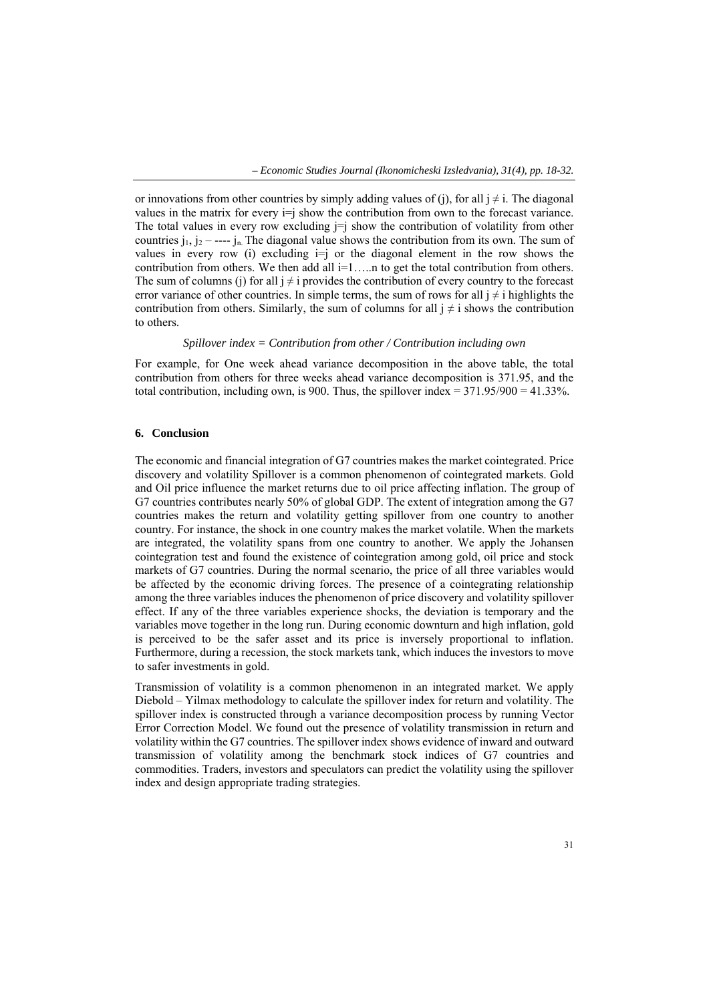or innovations from other countries by simply adding values of (j), for all  $j \neq i$ . The diagonal values in the matrix for every  $i=j$  show the contribution from own to the forecast variance. The total values in every row excluding  $j = j$  show the contribution of volatility from other countries  $j_1, j_2$  – ----  $j_n$ . The diagonal value shows the contribution from its own. The sum of values in every row (i) excluding  $i=j$  or the diagonal element in the row shows the contribution from others. We then add all  $i=1,...n$  to get the total contribution from others. The sum of columns (j) for all  $j \neq i$  provides the contribution of every country to the forecast error variance of other countries. In simple terms, the sum of rows for all  $j \neq i$  highlights the contribution from others. Similarly, the sum of columns for all  $j \neq i$  shows the contribution to others.

## *Spillover index = Contribution from other / Contribution including own*

For example, for One week ahead variance decomposition in the above table, the total contribution from others for three weeks ahead variance decomposition is 371.95, and the total contribution, including own, is 900. Thus, the spillover index =  $371.95/900 = 41.33\%$ .

#### **6. Conclusion**

The economic and financial integration of G7 countries makes the market cointegrated. Price discovery and volatility Spillover is a common phenomenon of cointegrated markets. Gold and Oil price influence the market returns due to oil price affecting inflation. The group of G7 countries contributes nearly 50% of global GDP. The extent of integration among the G7 countries makes the return and volatility getting spillover from one country to another country. For instance, the shock in one country makes the market volatile. When the markets are integrated, the volatility spans from one country to another. We apply the Johansen cointegration test and found the existence of cointegration among gold, oil price and stock markets of G7 countries. During the normal scenario, the price of all three variables would be affected by the economic driving forces. The presence of a cointegrating relationship among the three variables induces the phenomenon of price discovery and volatility spillover effect. If any of the three variables experience shocks, the deviation is temporary and the variables move together in the long run. During economic downturn and high inflation, gold is perceived to be the safer asset and its price is inversely proportional to inflation. Furthermore, during a recession, the stock markets tank, which induces the investors to move to safer investments in gold.

Transmission of volatility is a common phenomenon in an integrated market. We apply Diebold – Yilmax methodology to calculate the spillover index for return and volatility. The spillover index is constructed through a variance decomposition process by running Vector Error Correction Model. We found out the presence of volatility transmission in return and volatility within the G7 countries. The spillover index shows evidence of inward and outward transmission of volatility among the benchmark stock indices of G7 countries and commodities. Traders, investors and speculators can predict the volatility using the spillover index and design appropriate trading strategies.